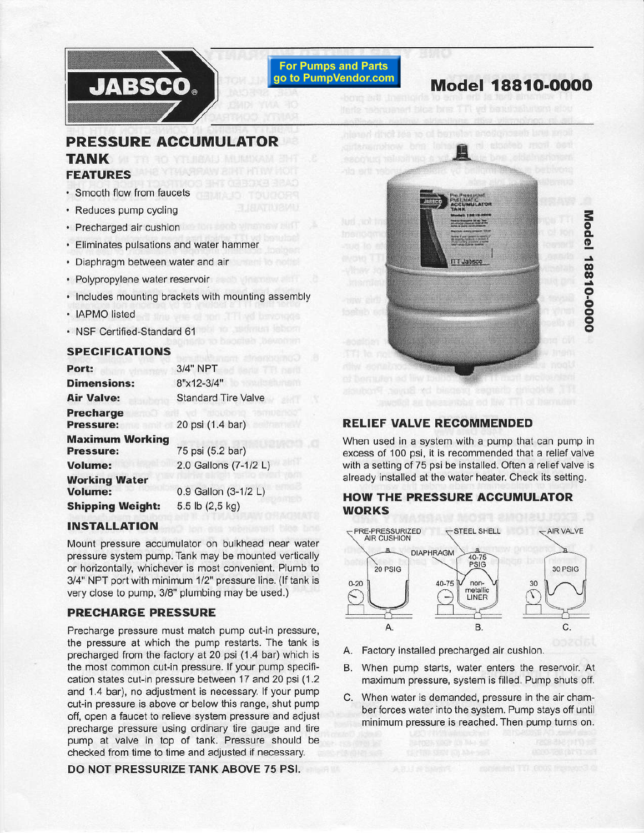# **JABSCO.**

**For Pumps and Parts** go to PumpVendor.com

## Model 1881O-OOOO

## PRESSURE ACCUMULATOR TANK FEATURES

- . Smooth flow from faucets
- . Reduces pump cycling
- . Precharged air cushion
- . Eliminates pulsations and water hammer
- ' Diaphragm between water and ait
- ' Polypropylene water reservoir
- . lncludes mounting brackels with mounting assembly
- IAPMO listed
- . NSF Certified-Standard 61

#### SPECIFICATIONS

| Port:                                                          | 3/4" NPT                   |  |
|----------------------------------------------------------------|----------------------------|--|
| <b>Dimensions:</b>                                             | 8"x12-3/4"                 |  |
| <b>Air Valve:</b>                                              | <b>Standard Tire Valve</b> |  |
| <b>Precharge</b><br><b>Pressure:</b>                           | 20 psi (1.4 bar)           |  |
| <b>Maximum Working</b><br>75 psi (5.2 bar)<br><b>Pressure:</b> |                            |  |
| <b>Volume:</b>                                                 | 2.0 Gallons (7-1/2 L)      |  |
| <b>Working Water</b><br><b>Volume:</b>                         | 0.9 Gallon (3-1/2 L)       |  |
| <b>Shipping Weight:</b>                                        | 5.5 lb (2,5 kg)            |  |

### INSTALLATION

Mount pressure accumulator on bulkhead near water pressure system pump, Tank may be mounted vertically or horizontally, whichever is most convenient, Plumb to 3/4" NPT port with minimum 1/2" pressure line. (If tank is very close to pump, 3/8" plumbing may be used.)

## PRECHARGE PRESSURE

Precharge pressure must match pump cut-in pressure, the pressure at which the pump restarts. The tank is precharged from the factory at 20 psi (1.4 bar) which is the most common cut-in pressure, lf your pump specification states cut-in pressure between 17 and 20 psi(1.2 and 1.4 bar), no adjustment is necessary. If your pump cut-in pressure is above or below this range, shut pump off, open a faucet to relieve system pressure and adjust pecharge pressure using ordinary tire gauge and tire pump at valve in top of tank. Pressure should be checked from time to time and adjusted if necessary.

DO NOT PRESSURIZE TANK ABOVE 75 PSI.



**3** o  $\frac{1}{9}$ o o o o o o o

## RELIEF VALVE RECOMMENDED

When used in a system with a pump that can pump in excess of 100 psi, it is recommended that a relief valve with a setting of 75 psi be installed. Often a relief valve is already installed at the water heater. Check its setting.

## HOW THE PRESSURE ACCUMULATOR WORKS



- A. Factory installed precharged air cushion.
- B. When pump starts, water enters the reservoir. At maximum pressure, system is filled, Pump shuts off.
- C. When water is demanded, pressure in the air chamber forces water into the system. Pump stays off until minimum pressure is reached, Then pump turns on.